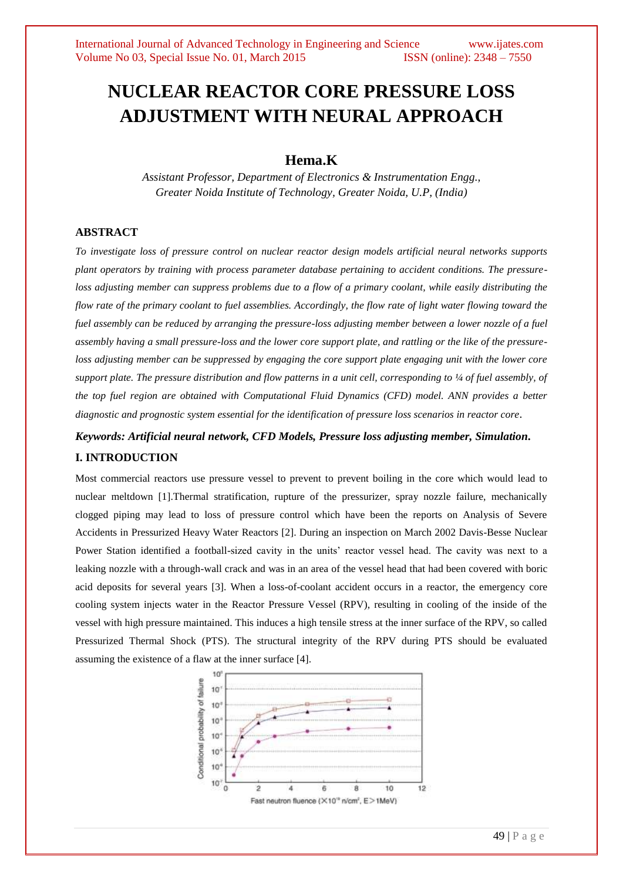# **NUCLEAR REACTOR CORE PRESSURE LOSS ADJUSTMENT WITH NEURAL APPROACH**

## **Hema.K**

*Assistant Professor, Department of Electronics & Instrumentation Engg., Greater Noida Institute of Technology, Greater Noida, U.P, (India)*

## **ABSTRACT**

*To investigate loss of pressure control on nuclear reactor design models artificial neural networks supports plant operators by training with process parameter database pertaining to accident conditions. The pressureloss adjusting member can suppress problems due to a flow of a primary coolant, while easily distributing the flow rate of the primary coolant to fuel assemblies. Accordingly, the flow rate of light water flowing toward the fuel assembly can be reduced by arranging the pressure-loss adjusting member between a lower nozzle of a fuel assembly having a small pressure-loss and the lower core support plate, and rattling or the like of the pressureloss adjusting member can be suppressed by engaging the core support plate engaging unit with the lower core support plate. The pressure distribution and flow patterns in a unit cell, corresponding to 1/4 of fuel assembly, of the top fuel region are obtained with Computational Fluid Dynamics (CFD) model. ANN provides a better diagnostic and prognostic system essential for the identification of pressure loss scenarios in reactor core*.

*Keywords: Artificial neural network, CFD Models, Pressure loss adjusting member, Simulation***.**

## **I. INTRODUCTION**

Most commercial reactors use pressure vessel to prevent to prevent boiling in the core which would lead to nuclear meltdown [1].Thermal stratification, rupture of the pressurizer, spray nozzle failure, mechanically clogged piping may lead to loss of pressure control which have been the reports on Analysis of Severe Accidents in Pressurized Heavy Water Reactors [2]. During an inspection on March 2002 Davis-Besse Nuclear Power Station identified a football-sized cavity in the units' reactor vessel head. The cavity was next to a leaking nozzle with a through-wall crack and was in an area of the vessel head that had been covered with boric acid deposits for several years [3]. When a loss-of-coolant accident occurs in a reactor, the emergency core cooling system injects water in the Reactor Pressure Vessel (RPV), resulting in cooling of the inside of the vessel with high pressure maintained. This induces a high tensile stress at the inner surface of the RPV, so called Pressurized Thermal Shock (PTS). The structural integrity of the RPV during PTS should be evaluated assuming the existence of a flaw at the inner surface [4].

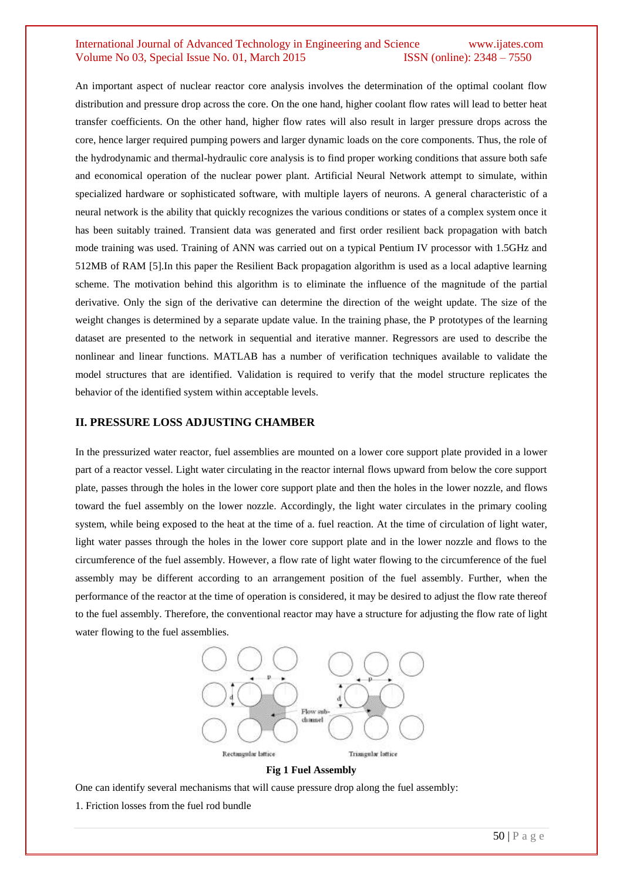An important aspect of nuclear reactor core analysis involves the determination of the optimal coolant flow distribution and pressure drop across the core. On the one hand, higher coolant flow rates will lead to better heat transfer coefficients. On the other hand, higher flow rates will also result in larger pressure drops across the core, hence larger required pumping powers and larger dynamic loads on the core components. Thus, the role of the hydrodynamic and thermal-hydraulic core analysis is to find proper working conditions that assure both safe and economical operation of the nuclear power plant. Artificial Neural Network attempt to simulate, within specialized hardware or sophisticated software, with multiple layers of neurons. A general characteristic of a neural network is the ability that quickly recognizes the various conditions or states of a complex system once it has been suitably trained. Transient data was generated and first order resilient back propagation with batch mode training was used. Training of ANN was carried out on a typical Pentium IV processor with 1.5GHz and 512MB of RAM [5].In this paper the Resilient Back propagation algorithm is used as a local adaptive learning scheme. The motivation behind this algorithm is to eliminate the influence of the magnitude of the partial derivative. Only the sign of the derivative can determine the direction of the weight update. The size of the weight changes is determined by a separate update value. In the training phase, the P prototypes of the learning dataset are presented to the network in sequential and iterative manner. Regressors are used to describe the nonlinear and linear functions. MATLAB has a number of verification techniques available to validate the model structures that are identified. Validation is required to verify that the model structure replicates the behavior of the identified system within acceptable levels.

#### **II. PRESSURE LOSS ADJUSTING CHAMBER**

In the pressurized water reactor, fuel assemblies are mounted on a lower core support plate provided in a lower part of a reactor vessel. Light water circulating in the reactor internal flows upward from below the core support plate, passes through the holes in the lower core support plate and then the holes in the lower nozzle, and flows toward the fuel assembly on the lower nozzle. Accordingly, the light water circulates in the primary cooling system, while being exposed to the heat at the time of a. fuel reaction. At the time of circulation of light water, light water passes through the holes in the lower core support plate and in the lower nozzle and flows to the circumference of the fuel assembly. However, a flow rate of light water flowing to the circumference of the fuel assembly may be different according to an arrangement position of the fuel assembly. Further, when the performance of the reactor at the time of operation is considered, it may be desired to adjust the flow rate thereof to the fuel assembly. Therefore, the conventional reactor may have a structure for adjusting the flow rate of light water flowing to the fuel assemblies.





One can identify several mechanisms that will cause pressure drop along the fuel assembly: 1. Friction losses from the fuel rod bundle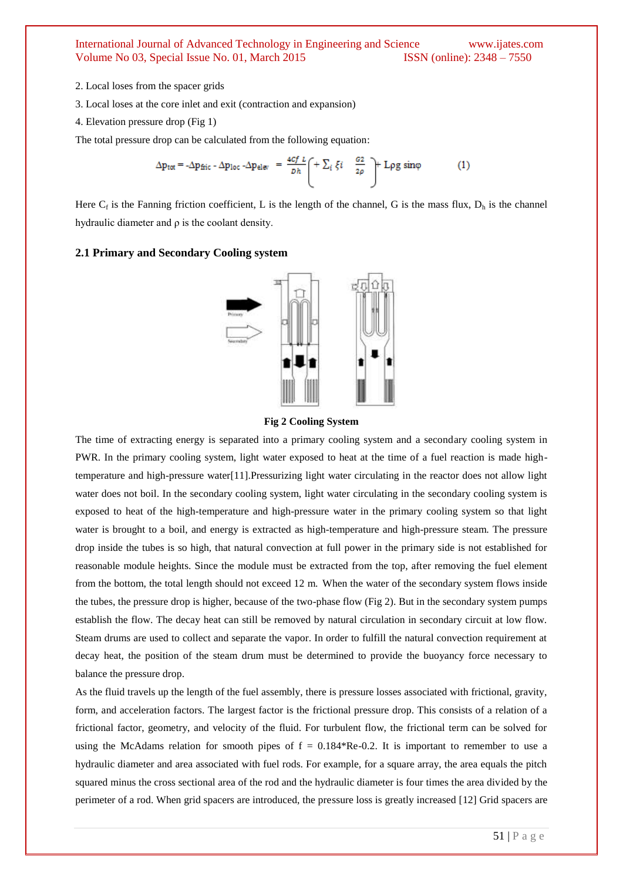- 2. Local loses from the spacer grids
- 3. Local loses at the core inlet and exit (contraction and expansion)
- 4. Elevation pressure drop (Fig 1)

The total pressure drop can be calculated from the following equation:

$$
\Delta p_{\text{tot}} = -\Delta p_{\text{fric}} - \Delta p_{\text{loc}} - \Delta p_{\text{elev}} = \frac{4cf L}{Dh} \left( + \sum_{i} \xi i - \frac{G2}{2\rho} \right) + \text{Lpg} \sin\varphi \tag{1}
$$

Here  $C_f$  is the Fanning friction coefficient, L is the length of the channel, G is the mass flux,  $D_h$  is the channel hydraulic diameter and  $\rho$  is the coolant density.

#### **2.1 Primary and Secondary Cooling system**





The time of extracting energy is separated into a primary cooling system and a secondary cooling system in PWR. In the primary cooling system, light water exposed to heat at the time of a fuel reaction is made hightemperature and high-pressure water[11].Pressurizing light water circulating in the reactor does not allow light water does not boil. In the secondary cooling system, light water circulating in the secondary cooling system is exposed to heat of the high-temperature and high-pressure water in the primary cooling system so that light water is brought to a boil, and energy is extracted as high-temperature and high-pressure steam. The pressure drop inside the tubes is so high, that natural convection at full power in the primary side is not established for reasonable module heights. Since the module must be extracted from the top, after removing the fuel element from the bottom, the total length should not exceed 12 m. When the water of the secondary system flows inside the tubes, the pressure drop is higher, because of the two-phase flow (Fig 2). But in the secondary system pumps establish the flow. The decay heat can still be removed by natural circulation in secondary circuit at low flow. Steam drums are used to collect and separate the vapor. In order to fulfill the natural convection requirement at decay heat, the position of the steam drum must be determined to provide the buoyancy force necessary to balance the pressure drop.

As the fluid travels up the length of the fuel assembly, there is pressure losses associated with frictional, gravity, form, and acceleration factors. The largest factor is the frictional pressure drop. This consists of a relation of a frictional factor, geometry, and velocity of the fluid. For turbulent flow, the frictional term can be solved for using the McAdams relation for smooth pipes of  $f = 0.184*Re-0.2$ . It is important to remember to use a hydraulic diameter and area associated with fuel rods. For example, for a square array, the area equals the pitch squared minus the cross sectional area of the rod and the hydraulic diameter is four times the area divided by the perimeter of a rod. When grid spacers are introduced, the pressure loss is greatly increased [12] Grid spacers are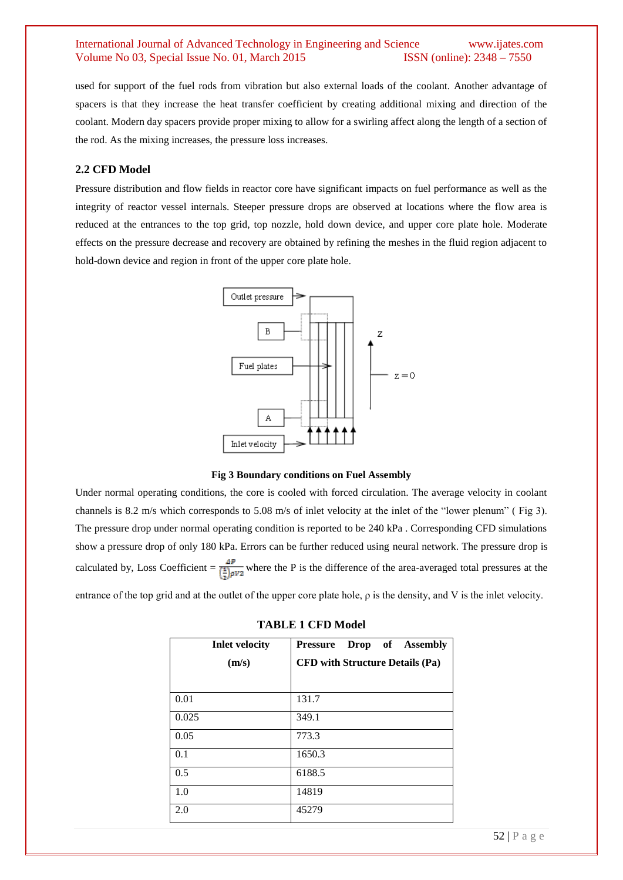used for support of the fuel rods from vibration but also external loads of the coolant. Another advantage of spacers is that they increase the heat transfer coefficient by creating additional mixing and direction of the coolant. Modern day spacers provide proper mixing to allow for a swirling affect along the length of a section of the rod. As the mixing increases, the pressure loss increases.

#### **2.2 CFD Model**

Pressure distribution and flow fields in reactor core have significant impacts on fuel performance as well as the integrity of reactor vessel internals. Steeper pressure drops are observed at locations where the flow area is reduced at the entrances to the top grid, top nozzle, hold down device, and upper core plate hole. Moderate effects on the pressure decrease and recovery are obtained by refining the meshes in the fluid region adjacent to hold-down device and region in front of the upper core plate hole.





Under normal operating conditions, the core is cooled with forced circulation. The average velocity in coolant channels is 8.2 m/s which corresponds to 5.08 m/s of inlet velocity at the inlet of the "lower plenum" ( Fig 3). The pressure drop under normal operating condition is reported to be 240 kPa . Corresponding CFD simulations show a pressure drop of only 180 kPa. Errors can be further reduced using neural network. The pressure drop is calculated by, Loss Coefficient =  $\frac{dP}{(\frac{1}{2})\rho V^2}$  where the P is the difference of the area-averaged total pressures at the

entrance of the top grid and at the outlet of the upper core plate hole, ρ is the density, and V is the inlet velocity.

| <b>TABLE 1 CFD Model</b> |  |  |
|--------------------------|--|--|
|--------------------------|--|--|

| <b>Inlet velocity</b> | Pressure Drop of Assembly              |  |
|-----------------------|----------------------------------------|--|
| (m/s)                 | <b>CFD with Structure Details (Pa)</b> |  |
|                       |                                        |  |
| 0.01                  | 131.7                                  |  |
| 0.025                 | 349.1                                  |  |
| 0.05                  | 773.3                                  |  |
| 0.1                   | 1650.3                                 |  |
| 0.5                   | 6188.5                                 |  |
| 1.0                   | 14819                                  |  |
| 2.0                   | 45279                                  |  |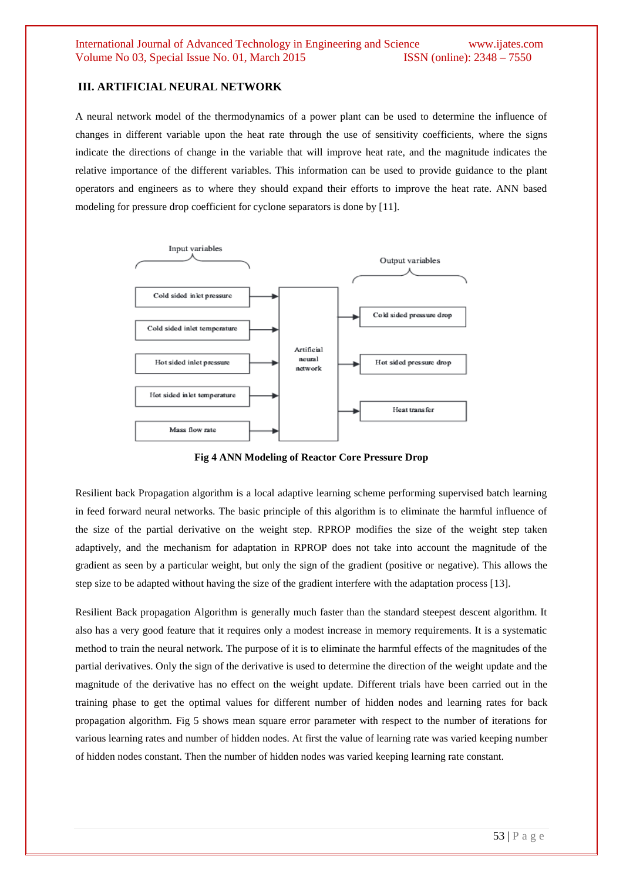#### **III. ARTIFICIAL NEURAL NETWORK**

A neural network model of the thermodynamics of a power plant can be used to determine the influence of changes in different variable upon the heat rate through the use of sensitivity coefficients, where the signs indicate the directions of change in the variable that will improve heat rate, and the magnitude indicates the relative importance of the different variables. This information can be used to provide guidance to the plant operators and engineers as to where they should expand their efforts to improve the heat rate. ANN based modeling for pressure drop coefficient for cyclone separators is done by [11].



**Fig 4 ANN Modeling of Reactor Core Pressure Drop**

Resilient back Propagation algorithm is a local adaptive learning scheme performing supervised batch learning in feed forward neural networks. The basic principle of this algorithm is to eliminate the harmful influence of the size of the partial derivative on the weight step. RPROP modifies the size of the weight step taken adaptively, and the mechanism for adaptation in RPROP does not take into account the magnitude of the gradient as seen by a particular weight, but only the sign of the gradient (positive or negative). This allows the step size to be adapted without having the size of the gradient interfere with the adaptation process [13].

Resilient Back propagation Algorithm is generally much faster than the standard steepest descent algorithm. It also has a very good feature that it requires only a modest increase in memory requirements. It is a systematic method to train the neural network. The purpose of it is to eliminate the harmful effects of the magnitudes of the partial derivatives. Only the sign of the derivative is used to determine the direction of the weight update and the magnitude of the derivative has no effect on the weight update. Different trials have been carried out in the training phase to get the optimal values for different number of hidden nodes and learning rates for back propagation algorithm. Fig 5 shows mean square error parameter with respect to the number of iterations for various learning rates and number of hidden nodes. At first the value of learning rate was varied keeping number of hidden nodes constant. Then the number of hidden nodes was varied keeping learning rate constant.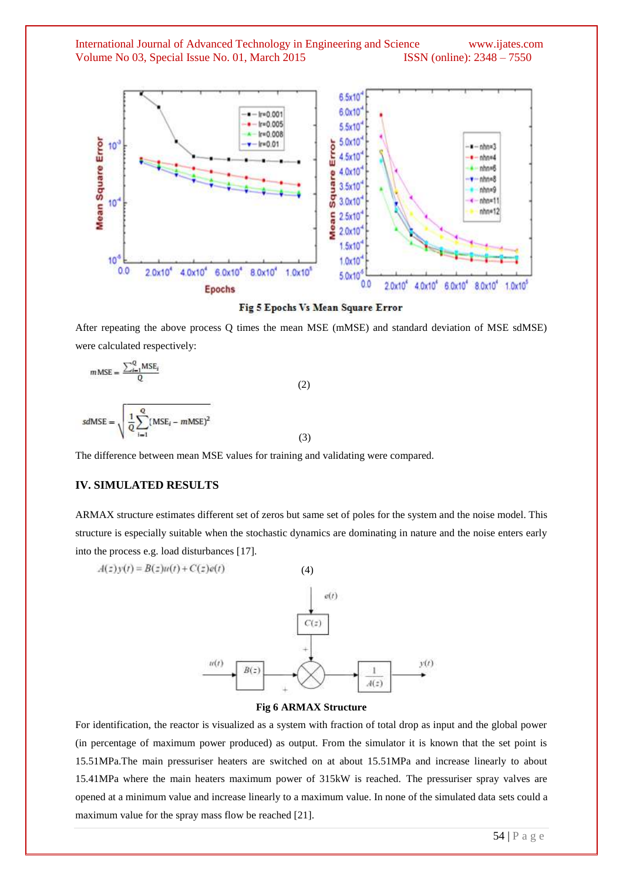

#### Fig 5 Epochs Vs Mean Square Error

After repeating the above process Q times the mean MSE (mMSE) and standard deviation of MSE sdMSE) were calculated respectively:

$$
m\text{MSE} = \frac{\sum_{i=1}^{Q} \text{MSE}_{i}}{Q}
$$
(2)  

$$
sd\text{MSE} = \sqrt{\frac{1}{Q} \sum_{i=1}^{Q} (MSE_{i} - m\text{MSE})^{2}}
$$
(3)

The difference between mean MSE values for training and validating were compared.

## **IV. SIMULATED RESULTS**

ARMAX structure estimates different set of zeros but same set of poles for the system and the noise model. This structure is especially suitable when the stochastic dynamics are dominating in nature and the noise enters early into the process e.g. load disturbances [17].

$$
A(z)y(t) = B(z)u(t) + C(z)e(t)
$$
\n(4)\n  
\n
$$
c(t)
$$
\n(5)\n  
\n
$$
u(t)
$$
\n(6)\n  
\n
$$
B(z)
$$
\n
$$
u(t)
$$
\n(7)\n  
\n
$$
B(z)
$$
\n(8)

#### **Fig 6 ARMAX Structure**

For identification, the reactor is visualized as a system with fraction of total drop as input and the global power (in percentage of maximum power produced) as output. From the simulator it is known that the set point is 15.51MPa.The main pressuriser heaters are switched on at about 15.51MPa and increase linearly to about 15.41MPa where the main heaters maximum power of 315kW is reached. The pressuriser spray valves are opened at a minimum value and increase linearly to a maximum value. In none of the simulated data sets could a maximum value for the spray mass flow be reached [21].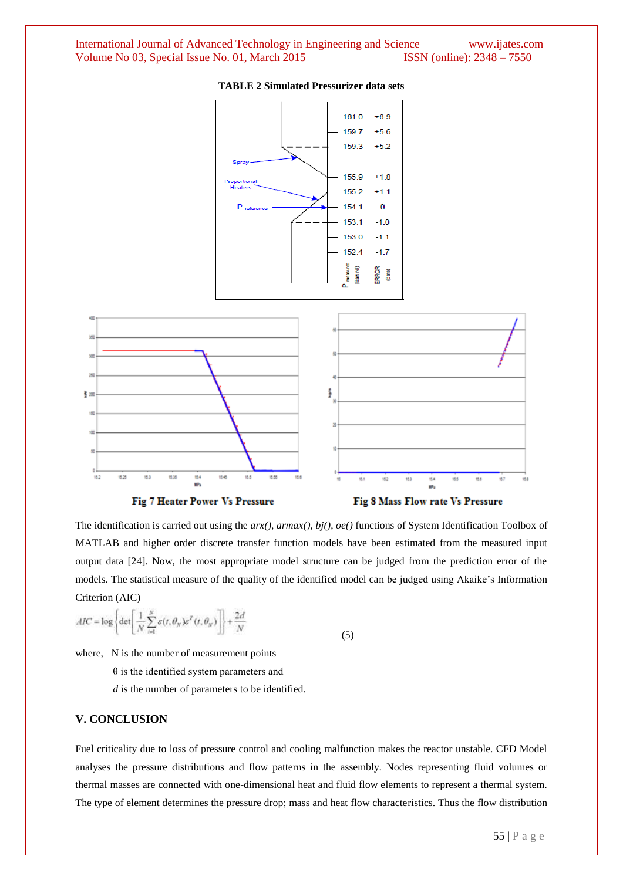![](_page_6_Figure_1.jpeg)

**TABLE 2 Simulated Pressurizer data sets**

The identification is carried out using the *arx()*, *armax()*, *bj()*, *oe()* functions of System Identification Toolbox of MATLAB and higher order discrete transfer function models have been estimated from the measured input output data [24]. Now, the most appropriate model structure can be judged from the prediction error of the models. The statistical measure of the quality of the identified model can be judged using Akaike's Information Criterion (AIC)

$$
AIC = \log \left\{ \det \left[ \frac{1}{N} \sum_{i=1}^{N} \varepsilon(t, \theta_N) \varepsilon^T(t, \theta_N) \right] \right\} + \frac{2d}{N}
$$
(5)

where, N is the number of measurement points

θ is the identified system parameters and

*d* is the number of parameters to be identified.

## **V. CONCLUSION**

Fuel criticality due to loss of pressure control and cooling malfunction makes the reactor unstable. CFD Model analyses the pressure distributions and flow patterns in the assembly. Nodes representing fluid volumes or thermal masses are connected with one-dimensional heat and fluid flow elements to represent a thermal system. The type of element determines the pressure drop; mass and heat flow characteristics. Thus the flow distribution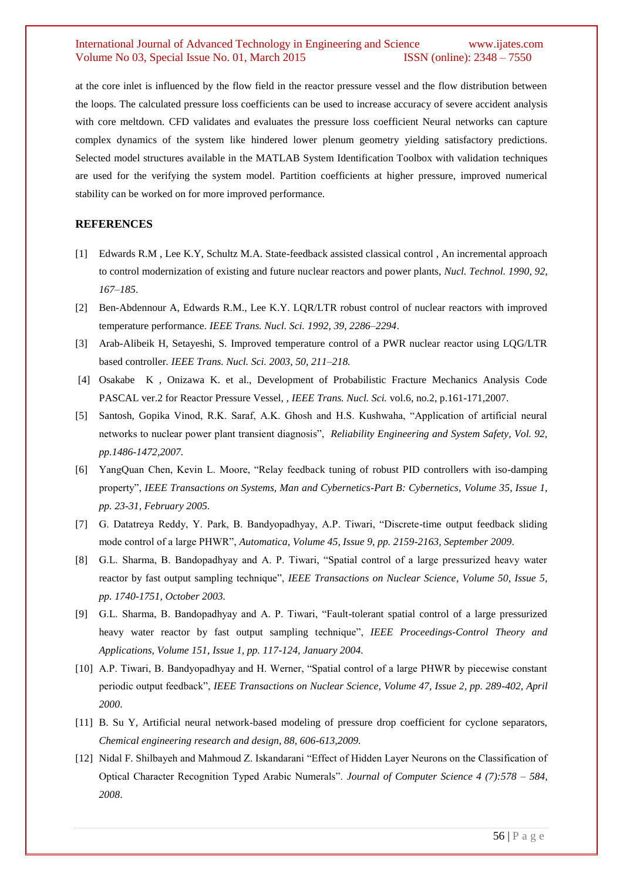at the core inlet is influenced by the flow field in the reactor pressure vessel and the flow distribution between the loops. The calculated pressure loss coefficients can be used to increase accuracy of severe accident analysis with core meltdown. CFD validates and evaluates the pressure loss coefficient Neural networks can capture complex dynamics of the system like hindered lower plenum geometry yielding satisfactory predictions. Selected model structures available in the MATLAB System Identification Toolbox with validation techniques are used for the verifying the system model. Partition coefficients at higher pressure, improved numerical stability can be worked on for more improved performance.

## **REFERENCES**

- [1] Edwards R.M , Lee K.Y, Schultz M.A. State-feedback assisted classical control , An incremental approach to control modernization of existing and future nuclear reactors and power plants, *Nucl. Technol. 1990, 92, 167–185*.
- [2] Ben-Abdennour A, Edwards R.M., Lee K.Y. LQR/LTR robust control of nuclear reactors with improved temperature performance. *IEEE Trans. Nucl. Sci. 1992, 39, 2286–2294*.
- [3] Arab-Alibeik H, Setayeshi, S. Improved temperature control of a PWR nuclear reactor using LQG/LTR based controller*. IEEE Trans. Nucl. Sci. 2003, 50, 211–218.*
- [4] Osakabe K , Onizawa K. et al., Development of Probabilistic Fracture Mechanics Analysis Code PASCAL ver.2 for Reactor Pressure Vessel, , *IEEE Trans. Nucl. Sci.* vol.6, no.2, p.161-171,2007.
- [5] Santosh, Gopika Vinod, R.K. Saraf, A.K. Ghosh and H.S. Kushwaha, "Application of artificial neural networks to nuclear power plant transient diagnosis", *Reliability Engineering and System Safety, Vol. 92, pp.1486-1472,2007.*
- [6] YangQuan Chen, Kevin L. Moore, "Relay feedback tuning of robust PID controllers with iso-damping property", *IEEE Transactions on Systems, Man and Cybernetics-Part B: Cybernetics, Volume 35, Issue 1, pp. 23-31, February 2005.*
- [7] G. Datatreya Reddy, Y. Park, B. Bandyopadhyay, A.P. Tiwari, "Discrete-time output feedback sliding mode control of a large PHWR", *Automatica, Volume 45, Issue 9, pp. 2159-2163, September 2009*.
- [8] G.L. Sharma, B. Bandopadhyay and A. P. Tiwari, "Spatial control of a large pressurized heavy water reactor by fast output sampling technique", *IEEE Transactions on Nuclear Science, Volume 50, Issue 5, pp. 1740-1751, October 2003.*
- [9] G.L. Sharma, B. Bandopadhyay and A. P. Tiwari, "Fault-tolerant spatial control of a large pressurized heavy water reactor by fast output sampling technique", *IEEE Proceedings-Control Theory and Applications, Volume 151, Issue 1, pp. 117-124, January 2004.*
- [10] A.P. Tiwari, B. Bandyopadhyay and H. Werner, "Spatial control of a large PHWR by piecewise constant periodic output feedback", *IEEE Transactions on Nuclear Science, Volume 47, Issue 2, pp. 289-402, April 2000*.
- [11] B. Su Y, Artificial neural network-based modeling of pressure drop coefficient for cyclone separators, *Chemical engineering research and design, 88, 606-613,2009.*
- [12] Nidal F. Shilbayeh and Mahmoud Z. Iskandarani "Effect of Hidden Layer Neurons on the Classification of Optical Character Recognition Typed Arabic Numerals". *Journal of Computer Science 4 (7):578 – 584, 2008*.